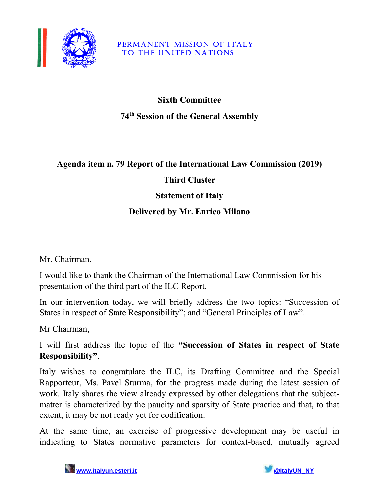

#### PERMANENT MISSION OF ITALY TO THE UNITED NATIONS

# Sixth Committee 74th Session of the General Assembly

#### Agenda item n. 79 Report of the International Law Commission (2019)

## Third Cluster

#### Statement of Italy

## Delivered by Mr. Enrico Milano

Mr. Chairman,

I would like to thank the Chairman of the International Law Commission for his presentation of the third part of the ILC Report.

In our intervention today, we will briefly address the two topics: "Succession of States in respect of State Responsibility"; and "General Principles of Law".

Mr Chairman,

I will first address the topic of the "Succession of States in respect of State Responsibility".

Italy wishes to congratulate the ILC, its Drafting Committee and the Special Rapporteur, Ms. Pavel Sturma, for the progress made during the latest session of work. Italy shares the view already expressed by other delegations that the subjectmatter is characterized by the paucity and sparsity of State practice and that, to that extent, it may be not ready yet for codification.

At the same time, an exercise of progressive development may be useful in indicating to States normative parameters for context-based, mutually agreed

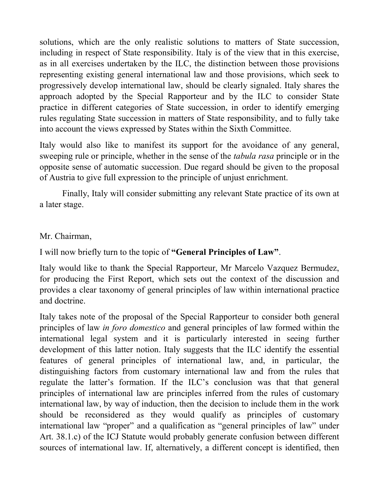solutions, which are the only realistic solutions to matters of State succession, including in respect of State responsibility. Italy is of the view that in this exercise, as in all exercises undertaken by the ILC, the distinction between those provisions representing existing general international law and those provisions, which seek to progressively develop international law, should be clearly signaled. Italy shares the approach adopted by the Special Rapporteur and by the ILC to consider State practice in different categories of State succession, in order to identify emerging rules regulating State succession in matters of State responsibility, and to fully take into account the views expressed by States within the Sixth Committee.

Italy would also like to manifest its support for the avoidance of any general, sweeping rule or principle, whether in the sense of the *tabula rasa* principle or in the opposite sense of automatic succession. Due regard should be given to the proposal of Austria to give full expression to the principle of unjust enrichment.

Finally, Italy will consider submitting any relevant State practice of its own at a later stage.

#### Mr. Chairman,

I will now briefly turn to the topic of "General Principles of Law".

Italy would like to thank the Special Rapporteur, Mr Marcelo Vazquez Bermudez, for producing the First Report, which sets out the context of the discussion and provides a clear taxonomy of general principles of law within international practice and doctrine.

Italy takes note of the proposal of the Special Rapporteur to consider both general principles of law in foro domestico and general principles of law formed within the international legal system and it is particularly interested in seeing further development of this latter notion. Italy suggests that the ILC identify the essential features of general principles of international law, and, in particular, the distinguishing factors from customary international law and from the rules that regulate the latter's formation. If the ILC's conclusion was that that general principles of international law are principles inferred from the rules of customary international law, by way of induction, then the decision to include them in the work should be reconsidered as they would qualify as principles of customary international law "proper" and a qualification as "general principles of law" under Art. 38.1.c) of the ICJ Statute would probably generate confusion between different sources of international law. If, alternatively, a different concept is identified, then